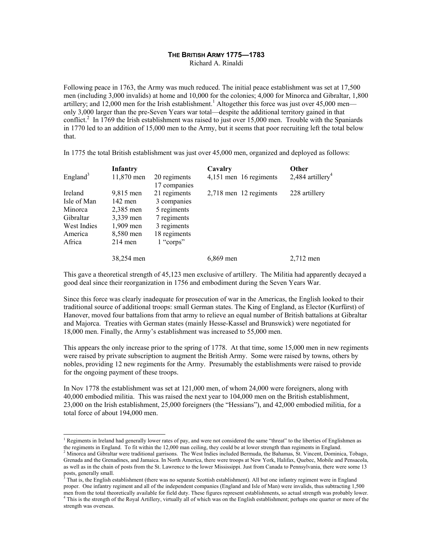# **THE BRITISH ARMY 1775—1783**

Richard A. Rinaldi

Following peace in 1763, the Army was much reduced. The initial peace establishment was set at 17,500 men (including 3,000 invalids) at home and 10,000 for the colonies; 4,000 for Minorca and Gibraltar, 1,800 artillery; and 12,000 men for the Irish establishment.<sup>1</sup> Altogether this force was just over 45,000 men only 3,000 larger than the pre-Seven Years war total—despite the additional territory gained in that conflict.<sup>2</sup> In 1769 the Irish establishment was raised to just over 15,000 men. Trouble with the Spaniards in 1770 led to an addition of 15,000 men to the Army, but it seems that poor recruiting left the total below that.

**Infantry Cavalry Other**  England<sup>3</sup> 11,870 men 20 regiments 17 companies 4,151 men 16 regiments 2,484 artillery<sup>4</sup> Ireland 9,815 men 21 regiments 2,718 men 12 regiments 228 artillery Isle of Man 142 men 3 companies Minorca 2,385 men 5 regiments Gibraltar 3,339 men 7 regiments West Indies 1,909 men 3 regiments America 8,580 men 18 regiments Africa 214 men 1 "corps" 38,254 men 6,869 men 2,712 men

In 1775 the total British establishment was just over 45,000 men, organized and deployed as follows:

This gave a theoretical strength of 45,123 men exclusive of artillery. The Militia had apparently decayed a good deal since their reorganization in 1756 and embodiment during the Seven Years War.

Since this force was clearly inadequate for prosecution of war in the Americas, the English looked to their traditional source of additional troops: small German states. The King of England, as Elector (Kurfürst) of Hanover, moved four battalions from that army to relieve an equal number of British battalions at Gibraltar and Majorca. Treaties with German states (mainly Hesse-Kassel and Brunswick) were negotiated for 18,000 men. Finally, the Army's establishment was increased to 55,000 men.

This appears the only increase prior to the spring of 1778. At that time, some 15,000 men in new regiments were raised by private subscription to augment the British Army. Some were raised by towns, others by nobles, providing 12 new regiments for the Army. Presumably the establishments were raised to provide for the ongoing payment of these troops.

In Nov 1778 the establishment was set at 121,000 men, of whom 24,000 were foreigners, along with 40,000 embodied militia. This was raised the next year to 104,000 men on the British establishment, 23,000 on the Irish establishment, 25,000 foreigners (the "Hessians"), and 42,000 embodied militia, for a total force of about 194,000 men.

<sup>&</sup>lt;sup>1</sup> Regiments in Ireland had generally lower rates of pay, and were not considered the same "threat" to the liberties of Englishmen as the regiments in England. To fit within the 12,000 man ceiling, they could be at lower strength than regiments in England.

 $^2$  Minorca and Gibraltar were traditional garrisons. The West Indies included Bermuda, the Bahamas, St. Vincent, Dominica, Tobago, Grenada and the Grenadines, and Jamaica. In North America, there were troops at New York, Halifax, Quebec, Mobile and Pensacola, as well as in the chain of posts from the St. Lawrence to the lower Mississippi. Just from Canada to Pennsylvania, there were some 13 posts, generally small.<br><sup>3</sup> That is, the English establishment (there was no separate Scottish establishment). All but one infantry regiment were in England

proper. One infantry regiment and all of the independent companies (England and Isle of Man) were invalids, thus subtracting 1,500 men from the total theoretically available for field duty. These figures represent establishments, so actual strength was probably lower. 4 <sup>4</sup> This is the strength of the Royal Artillery, virtually all of which was on the English establishment; perhaps one quarter or more of the strength was overseas.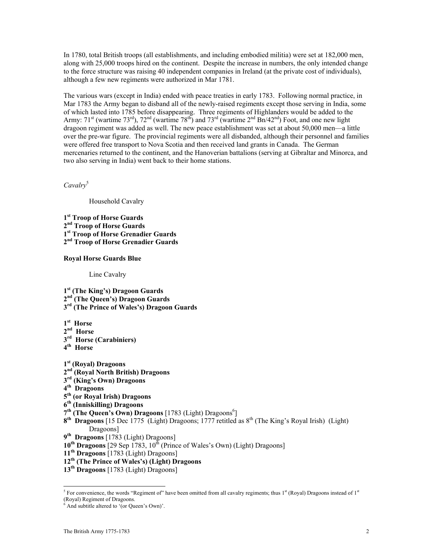In 1780, total British troops (all establishments, and including embodied militia) were set at 182,000 men, along with 25,000 troops hired on the continent. Despite the increase in numbers, the only intended change to the force structure was raising 40 independent companies in Ireland (at the private cost of individuals), although a few new regiments were authorized in Mar 1781.

The various wars (except in India) ended with peace treaties in early 1783. Following normal practice, in Mar 1783 the Army began to disband all of the newly-raised regiments except those serving in India, some of which lasted into 1785 before disappearing. Three regiments of Highlanders would be added to the Army:  $71^{\text{st}}$  (wartime  $73^{\text{rd}}$ ),  $72^{\text{nd}}$  (wartime  $78^{\text{th}}$ ) and  $73^{\text{rd}}$  (wartime  $2^{\text{nd}}$  Bn/42<sup>nd</sup>) Foot, and one new light dragoon regiment was added as well. The new peace establishment was set at about 50,000 men—a little over the pre-war figure. The provincial regiments were all disbanded, although their personnel and families were offered free transport to Nova Scotia and then received land grants in Canada. The German mercenaries returned to the continent, and the Hanoverian battalions (serving at Gibraltar and Minorca, and two also serving in India) went back to their home stations.

*Cavalry*<sup>5</sup>

Household Cavalry

**st Troop of Horse Guards nd Troop of Horse Guards st Troop of Horse Grenadier Guards nd Troop of Horse Grenadier Guards** 

### **Royal Horse Guards Blue**

Line Cavalry

**1st (The King's) Dragoon Guards 2nd (The Queen's) Dragoon Guards 3rd (The Prince of Wales's) Dragoon Guards** 

- **1st Horse**
- **2nd Horse**
- **3rd Horse (Carabiniers)**
- **4th Horse**
- **1st (Royal) Dragoons 2nd (Royal North British) Dragoons 3rd (King's Own) Dragoons 4th Dragoons 5th (or Royal Irish) Dragoons 6th (Inniskilling) Dragoons**  7<sup>th</sup> (The Queen's Own) Dragoons [1783 (Light) Dragoons<sup>6</sup>] 8<sup>th</sup> Dragoons [15 Dec 1775 (Light) Dragoons; 1777 retitled as 8<sup>th</sup> (The King's Royal Irish) (Light) Dragoons]
- **9th Dragoons** [1783 (Light) Dragoons]
- 10<sup>th</sup> Dragoons<sup>[29 Sep 1783, 10<sup>th</sup> (Prince of Wales's Own) (Light) Dragoons]</sup>
- **11th Dragoons** [1783 (Light) Dragoons]
- **12th (The Prince of Wales's) (Light) Dragoons**
- **13th Dragoons** [1783 (Light) Dragoons]

<sup>&</sup>lt;sup>5</sup> For convenience, the words "Regiment of" have been omitted from all cavalry regiments; thus  $1<sup>st</sup>$  (Royal) Dragoons instead of  $1<sup>st</sup>$ (Royal) Regiment of Dragoons.

<sup>6</sup> And subtitle altered to '(or Queen's Own)'.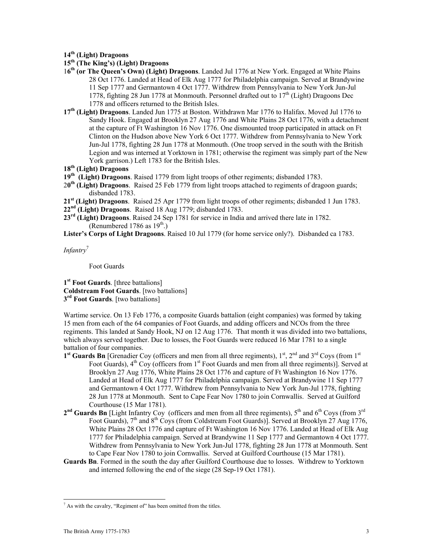**14th (Light) Dragoons** 

- **15th (The King's) (Light) Dragoons**
- 1**6th (or The Queen's Own) (Light) Dragoons**. Landed Jul 1776 at New York. Engaged at White Plains 28 Oct 1776. Landed at Head of Elk Aug 1777 for Philadelphia campaign. Served at Brandywine 11 Sep 1777 and Germantown 4 Oct 1777. Withdrew from Pennsylvania to New York Jun-Jul 1778, fighting 28 Jun 1778 at Monmouth. Personnel drafted out to  $17<sup>th</sup>$  (Light) Dragoons Dec 1778 and officers returned to the British Isles.
- **17th (Light) Dragoons**. Landed Jun 1775 at Boston. Withdrawn Mar 1776 to Halifax. Moved Jul 1776 to Sandy Hook. Engaged at Brooklyn 27 Aug 1776 and White Plains 28 Oct 1776, with a detachment at the capture of Ft Washington 16 Nov 1776. One dismounted troop participated in attack on Ft Clinton on the Hudson above New York 6 Oct 1777. Withdrew from Pennsylvania to New York Jun-Jul 1778, fighting 28 Jun 1778 at Monmouth. (One troop served in the south with the British Legion and was interned at Yorktown in 1781; otherwise the regiment was simply part of the New York garrison.) Left 1783 for the British Isles.
- **18th (Light) Dragoons**
- **19th (Light) Dragoons**. Raised 1779 from light troops of other regiments; disbanded 1783.
- 2**0th (Light) Dragoons**. Raised 25 Feb 1779 from light troops attached to regiments of dragoon guards; disbanded 1783.
- **21st (Light) Dragoons**. Raised 25 Apr 1779 from light troops of other regiments; disbanded 1 Jun 1783.
- **22nd (Light) Dragoons**. Raised 18 Aug 1779; disbanded 1783.
- **23rd (Light) Dragoons**. Raised 24 Sep 1781 for service in India and arrived there late in 1782. (Renumbered 1786 as  $19^{th}$ .)
- **Lister's Corps of Light Dragoons**. Raised 10 Jul 1779 (for home service only?). Disbanded ca 1783.

*Infantry*<sup>7</sup>

Foot Guards

**1st Foot Guards**. [three battalions] **Coldstream Foot Guards**. [two battalions] **3rd Foot Guards**. [two battalions]

Wartime service. On 13 Feb 1776, a composite Guards battalion (eight companies) was formed by taking 15 men from each of the 64 companies of Foot Guards, and adding officers and NCOs from the three regiments. This landed at Sandy Hook, NJ on 12 Aug 1776. That month it was divided into two battalions, which always served together. Due to losses, the Foot Guards were reduced 16 Mar 1781 to a single battalion of four companies.

- **1<sup>st</sup> Guards Bn** [Grenadier Coy (officers and men from all three regiments),  $1^{st}$ ,  $2^{nd}$  and  $3^{rd}$  Coys (from  $1^{st}$ Foot Guards),  $4<sup>th</sup>$  Coy (officers from  $1<sup>st</sup>$  Foot Guards and men from all three regiments)]. Served at Brooklyn 27 Aug 1776, White Plains 28 Oct 1776 and capture of Ft Washington 16 Nov 1776. Landed at Head of Elk Aug 1777 for Philadelphia campaign. Served at Brandywine 11 Sep 1777 and Germantown 4 Oct 1777. Withdrew from Pennsylvania to New York Jun-Jul 1778, fighting 28 Jun 1778 at Monmouth. Sent to Cape Fear Nov 1780 to join Cornwallis. Served at Guilford Courthouse (15 Mar 1781).
- $2<sup>nd</sup>$  Guards Bn [Light Infantry Coy (officers and men from all three regiments),  $5<sup>th</sup>$  and  $6<sup>th</sup>$  Coys (from  $3<sup>rd</sup>$ Foot Guards),  $7<sup>th</sup>$  and  $8<sup>th</sup>$  Coys (from Coldstream Foot Guards)]. Served at Brooklyn 27 Aug 1776, White Plains 28 Oct 1776 and capture of Ft Washington 16 Nov 1776. Landed at Head of Elk Aug 1777 for Philadelphia campaign. Served at Brandywine 11 Sep 1777 and Germantown 4 Oct 1777. Withdrew from Pennsylvania to New York Jun-Jul 1778, fighting 28 Jun 1778 at Monmouth. Sent to Cape Fear Nov 1780 to join Cornwallis. Served at Guilford Courthouse (15 Mar 1781).
- **Guards Bn**. Formed in the south the day after Guilford Courthouse due to losses. Withdrew to Yorktown and interned following the end of the siege (28 Sep-19 Oct 1781).

 7 As with the cavalry, "Regiment of" has been omitted from the titles.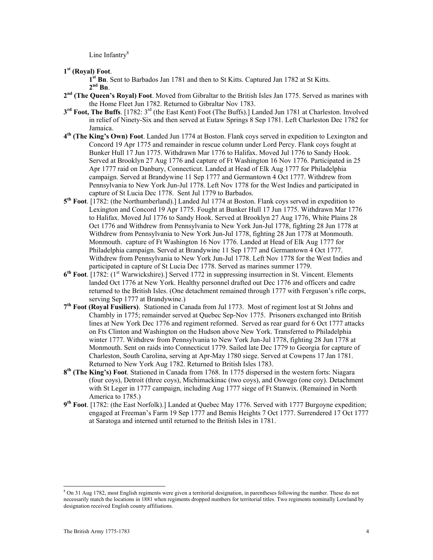Line Infantry<sup>8</sup>

**1st (Royal) Foot**.

**1st Bn**. Sent to Barbados Jan 1781 and then to St Kitts. Captured Jan 1782 at St Kitts. **2nd Bn**.

- **2nd (The Queen's Royal) Foot**. Moved from Gibraltar to the British Isles Jan 1775. Served as marines with the Home Fleet Jun 1782. Returned to Gibraltar Nov 1783.
- **3rd Foot, The Buffs**. [1782: 3rd (the East Kent) Foot (The Buffs).] Landed Jun 1781 at Charleston. Involved in relief of Ninety-Six and then served at Eutaw Springs 8 Sep 1781. Left Charleston Dec 1782 for Jamaica.
- **4th (The King's Own) Foot**. Landed Jun 1774 at Boston. Flank coys served in expedition to Lexington and Concord 19 Apr 1775 and remainder in rescue column under Lord Percy. Flank coys fought at Bunker Hull 17 Jun 1775. Withdrawn Mar 1776 to Halifax. Moved Jul 1776 to Sandy Hook. Served at Brooklyn 27 Aug 1776 and capture of Ft Washington 16 Nov 1776. Participated in 25 Apr 1777 raid on Danbury, Connecticut. Landed at Head of Elk Aug 1777 for Philadelphia campaign. Served at Brandywine 11 Sep 1777 and Germantown 4 Oct 1777. Withdrew from Pennsylvania to New York Jun-Jul 1778. Left Nov 1778 for the West Indies and participated in capture of St Lucia Dec 1778. Sent Jul 1779 to Barbados.
- **5th Foot**. [1782: (the Northumberland).] Landed Jul 1774 at Boston. Flank coys served in expedition to Lexington and Concord 19 Apr 1775. Fought at Bunker Hull 17 Jun 1775. Withdrawn Mar 1776 to Halifax. Moved Jul 1776 to Sandy Hook. Served at Brooklyn 27 Aug 1776, White Plains 28 Oct 1776 and Withdrew from Pennsylvania to New York Jun-Jul 1778, fighting 28 Jun 1778 at Withdrew from Pennsylvania to New York Jun-Jul 1778, fighting 28 Jun 1778 at Monmouth. Monmouth. capture of Ft Washington 16 Nov 1776. Landed at Head of Elk Aug 1777 for Philadelphia campaign. Served at Brandywine 11 Sep 1777 and Germantown 4 Oct 1777. Withdrew from Pennsylvania to New York Jun-Jul 1778. Left Nov 1778 for the West Indies and participated in capture of St Lucia Dec 1778. Served as marines summer 1779.
- **6th Foot**. [1782: (1st Warwickshire).] Served 1772 in suppressing insurrection in St. Vincent. Elements landed Oct 1776 at New York. Healthy personnel drafted out Dec 1776 and officers and cadre returned to the British Isles. (One detachment remained through 1777 with Ferguson's rifle corps, serving Sep 1777 at Brandywine.)
- **7th Foot (Royal Fusiliers)**. Stationed in Canada from Jul 1773. Most of regiment lost at St Johns and Chambly in 1775; remainder served at Quebec Sep-Nov 1775. Prisoners exchanged into British lines at New York Dec 1776 and regiment reformed. Served as rear guard for 6 Oct 1777 attacks on Fts Clinton and Washington on the Hudson above New York. Transferred to Philadelphia winter 1777. Withdrew from Pennsylvania to New York Jun-Jul 1778, fighting 28 Jun 1778 at Monmouth. Sent on raids into Connecticut 1779. Sailed late Dec 1779 to Georgia for capture of Charleston, South Carolina, serving at Apr-May 1780 siege. Served at Cowpens 17 Jan 1781. Returned to New York Aug 1782. Returned to British Isles 1783.
- **8th (The King's) Foot**. Stationed in Canada from 1768. In 1775 dispersed in the western forts: Niagara (four coys), Detroit (three coys), Michimackinac (two coys), and Oswego (one coy). Detachment with St Leger in 1777 campaign, including Aug 1777 siege of Ft Stanwix. (Remained in North America to 1785.)
- **9th Foot**. [1782: (the East Norfolk).] Landed at Quebec May 1776. Served with 1777 Burgoyne expedition; engaged at Freeman's Farm 19 Sep 1777 and Bemis Heights 7 Oct 1777. Surrendered 17 Oct 1777 at Saratoga and interned until returned to the British Isles in 1781.

 8 On 31 Aug 1782, most English regiments were given a territorial designation, in parentheses following the number. These do not necessarily match the locations in 1881 when regiments dropped numbers for territorial titles. Two regiments nominally Lowland by designation received English county affiliations.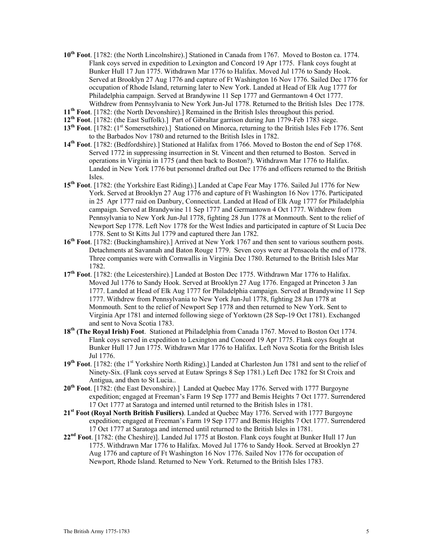- **10th Foot**. [1782: (the North Lincolnshire).] Stationed in Canada from 1767. Moved to Boston ca. 1774. Flank coys served in expedition to Lexington and Concord 19 Apr 1775. Flank coys fought at Bunker Hull 17 Jun 1775. Withdrawn Mar 1776 to Halifax. Moved Jul 1776 to Sandy Hook. Served at Brooklyn 27 Aug 1776 and capture of Ft Washington 16 Nov 1776. Sailed Dec 1776 for occupation of Rhode Island, returning later to New York. Landed at Head of Elk Aug 1777 for Philadelphia campaign. Served at Brandywine 11 Sep 1777 and Germantown 4 Oct 1777. Withdrew from Pennsylvania to New York Jun-Jul 1778. Returned to the British Isles Dec 1778.
- **11th Foot**. [1782: (the North Devonshire).] Remained in the British Isles throughout this period.
- **12th Foot**. [1782: (the East Suffolk).] Part of Gibraltar garrison during Jun 1779-Feb 1783 siege.
- 13<sup>th</sup> Foot. [1782: (1<sup>st</sup> Somersetshire).] Stationed on Minorca, returning to the British Isles Feb 1776. Sent to the Barbados Nov 1780 and returned to the British Isles in 1782.
- **14th Foot**. [1782: (Bedfordshire).] Stationed at Halifax from 1766. Moved to Boston the end of Sep 1768. Served 1772 in suppressing insurrection in St. Vincent and then returned to Boston. Served in operations in Virginia in 1775 (and then back to Boston?). Withdrawn Mar 1776 to Halifax. Landed in New York 1776 but personnel drafted out Dec 1776 and officers returned to the British Isles.
- **15th Foot**. [1782: (the Yorkshire East Riding).] Landed at Cape Fear May 1776. Sailed Jul 1776 for New York. Served at Brooklyn 27 Aug 1776 and capture of Ft Washington 16 Nov 1776. Participated in 25 Apr 1777 raid on Danbury, Connecticut. Landed at Head of Elk Aug 1777 for Philadelphia campaign. Served at Brandywine 11 Sep 1777 and Germantown 4 Oct 1777. Withdrew from Pennsylvania to New York Jun-Jul 1778, fighting 28 Jun 1778 at Monmouth. Sent to the relief of Newport Sep 1778. Left Nov 1778 for the West Indies and participated in capture of St Lucia Dec 1778. Sent to St Kitts Jul 1779 and captured there Jan 1782.
- **16th Foot**. [1782: (Buckinghamshire).] Arrived at New York 1767 and then sent to various southern posts. Detachments at Savannah and Baton Rouge 1779. Seven coys were at Pensacola the end of 1778. Three companies were with Cornwallis in Virginia Dec 1780. Returned to the British Isles Mar 1782.
- **17th Foot**. [1782: (the Leicestershire).] Landed at Boston Dec 1775. Withdrawn Mar 1776 to Halifax. Moved Jul 1776 to Sandy Hook. Served at Brooklyn 27 Aug 1776. Engaged at Princeton 3 Jan 1777. Landed at Head of Elk Aug 1777 for Philadelphia campaign. Served at Brandywine 11 Sep 1777. Withdrew from Pennsylvania to New York Jun-Jul 1778, fighting 28 Jun 1778 at Monmouth. Sent to the relief of Newport Sep 1778 and then returned to New York. Sent to Virginia Apr 1781 and interned following siege of Yorktown (28 Sep-19 Oct 1781). Exchanged and sent to Nova Scotia 1783.
- **18th (The Royal Irish) Foot**. Stationed at Philadelphia from Canada 1767. Moved to Boston Oct 1774. Flank coys served in expedition to Lexington and Concord 19 Apr 1775. Flank coys fought at Bunker Hull 17 Jun 1775. Withdrawn Mar 1776 to Halifax. Left Nova Scotia for the British Isles Jul 1776.
- 19<sup>th</sup> Foot. [1782: (the 1<sup>st</sup> Yorkshire North Riding).] Landed at Charleston Jun 1781 and sent to the relief of Ninety-Six. (Flank coys served at Eutaw Springs 8 Sep 1781.) Left Dec 1782 for St Croix and Antigua, and then to St Lucia..
- **20th Foot**. [1782: (the East Devonshire).] Landed at Quebec May 1776. Served with 1777 Burgoyne expedition; engaged at Freeman's Farm 19 Sep 1777 and Bemis Heights 7 Oct 1777. Surrendered 17 Oct 1777 at Saratoga and interned until returned to the British Isles in 1781.
- **21st Foot (Royal North British Fusiliers)**. Landed at Quebec May 1776. Served with 1777 Burgoyne expedition; engaged at Freeman's Farm 19 Sep 1777 and Bemis Heights 7 Oct 1777. Surrendered 17 Oct 1777 at Saratoga and interned until returned to the British Isles in 1781.
- **22nd Foot**. [1782: (the Cheshire)]. Landed Jul 1775 at Boston. Flank coys fought at Bunker Hull 17 Jun 1775. Withdrawn Mar 1776 to Halifax. Moved Jul 1776 to Sandy Hook. Served at Brooklyn 27 Aug 1776 and capture of Ft Washington 16 Nov 1776. Sailed Nov 1776 for occupation of Newport, Rhode Island. Returned to New York. Returned to the British Isles 1783.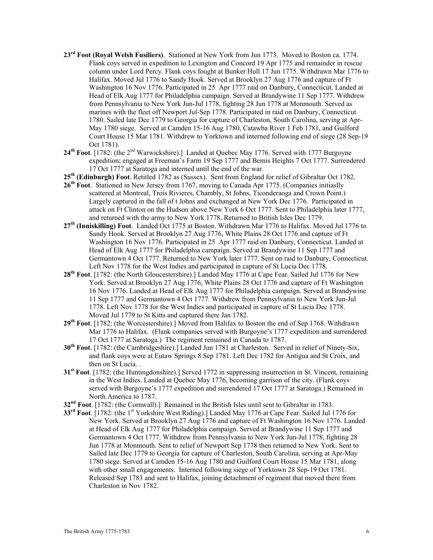- **23rd Foot (Royal Welsh Fusiliers)**. Stationed at New York from Jun 1773. Moved to Boston ca. 1774. Flank coys served in expedition to Lexington and Concord 19 Apr 1775 and remainder in rescue column under Lord Percy. Flank coys fought at Bunker Hull 17 Jun 1775. Withdrawn Mar 1776 to Halifax. Moved Jul 1776 to Sandy Hook. Served at Brooklyn 27 Aug 1776 and capture of Ft Washington 16 Nov 1776. Participated in 25 Apr 1777 raid on Danbury, Connecticut. Landed at Head of Elk Aug 1777 for Philadelphia campaign. Served at Brandywine 11 Sep 1777. Withdrew from Pennsylvania to New York Jun-Jul 1778, fighting 28 Jun 1778 at Monmouth. Served as marines with the fleet off Newport Jul-Sep 1778. Participated in raid on Danbury, Connecticut 1780. Sailed late Dec 1779 to Georgia for capture of Charleston, South Carolina, serving at Apr-May 1780 siege. Served at Camden 15-16 Aug 1780, Catawba River 1 Feb 1781, and Guilford Court House 15 Mar 1781. Withdrew to Yorktown and interned following end of siege (28 Sep-19 Oct 1781).
- 24<sup>th</sup> Foot. [1782: (the 2<sup>nd</sup> Warwickshire).] Landed at Quebec May 1776. Served with 1777 Burgoyne expedition; engaged at Freeman's Farm 19 Sep 1777 and Bemis Heights 7 Oct 1777. Surrendered 17 Oct 1777 at Saratoga and interned until the end of the war.
- **25th (Edinburgh) Foot**. Retitled 1782 as (Sussex). Sent from England for relief of Gibraltar Oct 1782.
- **26th Foot**. Stationed in New Jersey from 1767, moving to Canada Apr 1775. (Companies initiaslly scattered at Montreal, Trois Rivieres, Chambly, St Johns, Ticonderaoga and Crown Point.) Largely captured in the fall of t Johns and exchanged at New York Dec 1776. Participated in attack on Ft Clinton on the Hudson above New York 6 Oct 1777. Sent to Philadelphia later 1777, and returned with the army to New York 1778. Returned to British Isles Dec 1779.
- **27th (Inniskilling) Foot**. Landed Oct 1775 at Boston. Withdrawn Mar 1776 to Halifax. Moved Jul 1776 to Sandy Hook. Served at Brooklyn 27 Aug 1776, White Plains 28 Oct 1776 and capture of Ft Washington 16 Nov 1776. Participated in 25 Apr 1777 raid on Danbury, Connecticut. Landed at Head of Elk Aug 1777 for Philadelphia campaign. Served at Brandywine 11 Sep 1777 and Germantown 4 Oct 1777. Returned to New York later 1777. Sent on raid to Danbury, Connecticut. Left Nov 1778 for the West Indies and participated in capture of St Lucia Dec 1778.
- **28th Foot**. [1782: (the North Gloucestershire).] Landed May 1776 at Cape Fear. Sailed Jul 1776 for New York. Served at Brooklyn 27 Aug 1776, White Plains 28 Oct 1776 and capture of Ft Washington 16 Nov 1776. Landed at Head of Elk Aug 1777 for Philadelphia campaign. Served at Brandywine 11 Sep 1777 and Germantown 4 Oct 1777. Withdrew from Pennsylvania to New York Jun-Jul 1778. Left Nov 1778 for the West Indies and participated in capture of St Lucia Dec 1778. Moved Jul 1779 to St Kitts and captured there Jan 1782.
- **29th Foot**. [1782: (the Worcestershire).] Moved from Halifax to Boston the end of Sep 1768. Withdrawn Mar 1776 to Halifax. (Flank companies served with Burgoyne's 1777 expedition and surrendered 17 Oct 1777 at Saratoga.) The regiment remained in Canada to 1787.
- **30th Foot**. [1782: (the Cambridgeshire).] Landed Jun 1781 at Charleston. Served in relief of Ninety-Six, and flank coys were at Eutaw Springs 8 Sep 1781. Left Dec 1782 for Antigua and St Croix, and then on St Lucia. .
- **31st Foot**. [1782: (the Huntingdonshire).] Served 1772 in suppressing insurrection in St. Vincent, remaining in the West Indies. Landed at Quebec May 1776, becoming garrison of the city. (Flank coys served with Burgoyne's 1777 expedition and surrendered 17 Oct 1777 at Saratoga.) Remained in North America to 1787.
- **32nd Foot**. [1782: (the Cornwall).] Remained in the British Isles until sent to Gibraltar in 1783.
- **33<sup>rd</sup> Foot**. [1782: (the 1<sup>st</sup> Yorkshire West Riding).] Landed May 1776 at Cape Fear. Sailed Jul 1776 for New York. Served at Brooklyn 27 Aug 1776 and capture of Ft Washington 16 Nov 1776. Landed at Head of Elk Aug 1777 for Philadelphia campaign. Served at Brandywine 11 Sep 1777 and Germantown 4 Oct 1777. Withdrew from Pennsylvania to New York Jun-Jul 1778, fighting 28 Jun 1778 at Monmouth. Sent to relief of Newport Sep 1778 then returned to New York. Sent to Sailed late Dec 1779 to Georgia for capture of Charleston, South Carolina, serving at Apr-May 1780 siege. Served at Camden 15-16 Aug 1780 and Guilford Court House 15 Mar 1781, along with other small engagements. Interned following siege of Yorktown 28 Sep-19 Oct 1781. Released Sep 1783 and sent to Halifax, joining detachment of regiment that moved there from Charleston in Nov 1782.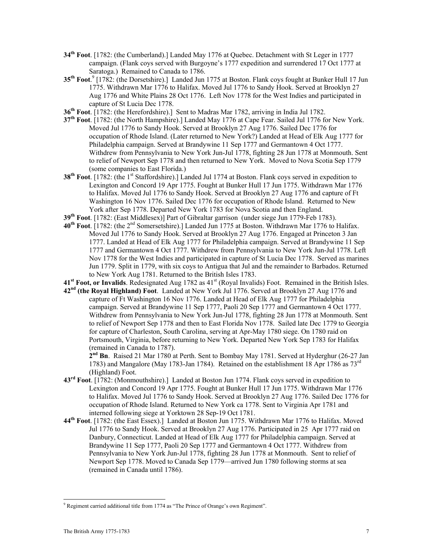- **34th Foot**. [1782: (the Cumberland).] Landed May 1776 at Quebec. Detachment with St Leger in 1777 campaign. (Flank coys served with Burgoyne's 1777 expedition and surrendered 17 Oct 1777 at Saratoga.) Remained to Canada to 1786.
- 35<sup>th</sup> Foot.<sup>9</sup> [1782: (the Dorsetshire).] Landed Jun 1775 at Boston. Flank coys fought at Bunker Hull 17 Jun 1775. Withdrawn Mar 1776 to Halifax. Moved Jul 1776 to Sandy Hook. Served at Brooklyn 27 Aug 1776 and White Plains 28 Oct 1776. Left Nov 1778 for the West Indies and participated in capture of St Lucia Dec 1778.
- **36th Foot**. [1782: (the Herefordshire).] Sent to Madras Mar 1782, arriving in India Jul 1782.
- **37th Foot**. [1782: (the North Hampshire).] Landed May 1776 at Cape Fear. Sailed Jul 1776 for New York. Moved Jul 1776 to Sandy Hook. Served at Brooklyn 27 Aug 1776. Sailed Dec 1776 for occupation of Rhode Island. (Later returned to New York?) Landed at Head of Elk Aug 1777 for Philadelphia campaign. Served at Brandywine 11 Sep 1777 and Germantown 4 Oct 1777. Withdrew from Pennsylvania to New York Jun-Jul 1778, fighting 28 Jun 1778 at Monmouth. Sent to relief of Newport Sep 1778 and then returned to New York. Moved to Nova Scotia Sep 1779 (some companies to East Florida.)
- **38<sup>th</sup> Foot**. [1782: (the 1<sup>st</sup> Staffordshire).] Landed Jul 1774 at Boston. Flank coys served in expedition to Lexington and Concord 19 Apr 1775. Fought at Bunker Hull 17 Jun 1775. Withdrawn Mar 1776 to Halifax. Moved Jul 1776 to Sandy Hook. Served at Brooklyn 27 Aug 1776 and capture of Ft Washington 16 Nov 1776. Sailed Dec 1776 for occupation of Rhode Island. Returned to New York after Sep 1778. Departed New York 1783 for Nova Scotia and then England.
- **39th Foot**. [1782: (East Middlesex)] Part of Gibraltar garrison (under siege Jun 1779-Feb 1783).
- **40th Foot**. [1782: (the 2nd Somersetshire).] Landed Jun 1775 at Boston. Withdrawn Mar 1776 to Halifax. Moved Jul 1776 to Sandy Hook. Served at Brooklyn 27 Aug 1776. Engaged at Princeton 3 Jan 1777. Landed at Head of Elk Aug 1777 for Philadelphia campaign. Served at Brandywine 11 Sep 1777 and Germantown 4 Oct 1777. Withdrew from Pennsylvania to New York Jun-Jul 1778. Left Nov 1778 for the West Indies and participated in capture of St Lucia Dec 1778. Served as marines Jun 1779. Split in 1779, with six coys to Antigua that Jul and the remainder to Barbados. Returned to New York Aug 1781. Returned to the British Isles 1783.
- **41st Foot, or Invalids**. Redesignated Aug 1782 as 41st (Royal Invalids) Foot. Remained in the British Isles.
- **42nd (the Royal Highland) Foot**. Landed at New York Jul 1776. Served at Brooklyn 27 Aug 1776 and capture of Ft Washington 16 Nov 1776. Landed at Head of Elk Aug 1777 for Philadelphia campaign. Served at Brandywine 11 Sep 1777, Paoli 20 Sep 1777 and Germantown 4 Oct 1777. Withdrew from Pennsylvania to New York Jun-Jul 1778, fighting 28 Jun 1778 at Monmouth. Sent to relief of Newport Sep 1778 and then to East Florida Nov 1778. Sailed late Dec 1779 to Georgia for capture of Charleston, South Carolina, serving at Apr-May 1780 siege. On 1780 raid on Portsmouth, Virginia, before returning to New York. Departed New York Sep 1783 for Halifax (remained in Canada to 1787).

 **2nd Bn**. Raised 21 Mar 1780 at Perth. Sent to Bombay May 1781. Served at Hyderghur (26-27 Jan 1783) and Mangalore (May 1783-Jan 1784). Retained on the establishment 18 Apr 1786 as  $73<sup>rd</sup>$ (Highland) Foot.

- **43rd Foot**. [1782: (Monmouthshire).] Landed at Boston Jun 1774. Flank coys served in expedition to Lexington and Concord 19 Apr 1775. Fought at Bunker Hull 17 Jun 1775. Withdrawn Mar 1776 to Halifax. Moved Jul 1776 to Sandy Hook. Served at Brooklyn 27 Aug 1776. Sailed Dec 1776 for occupation of Rhode Island. Returned to New York ca 1778. Sent to Virginia Apr 1781 and interned following siege at Yorktown 28 Sep-19 Oct 1781.
- **44th Foot**. [1782: (the East Essex).] Landed at Boston Jun 1775. Withdrawn Mar 1776 to Halifax. Moved Jul 1776 to Sandy Hook. Served at Brooklyn 27 Aug 1776. Participated in 25 Apr 1777 raid on Danbury, Connecticut. Landed at Head of Elk Aug 1777 for Philadelphia campaign. Served at Brandywine 11 Sep 1777, Paoli 20 Sep 1777 and Germantown 4 Oct 1777. Withdrew from Pennsylvania to New York Jun-Jul 1778, fighting 28 Jun 1778 at Monmouth. Sent to relief of Newport Sep 1778. Moved to Canada Sep 1779—arrived Jun 1780 following storms at sea (remained in Canada until 1786).

<sup>-</sup><sup>9</sup> Regiment carried additional title from 1774 as "The Prince of Orange's own Regiment".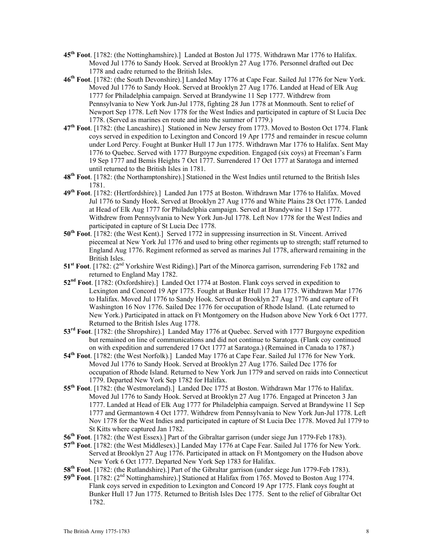- **45th Foot**. [1782: (the Nottinghamshire).] Landed at Boston Jul 1775. Withdrawn Mar 1776 to Halifax. Moved Jul 1776 to Sandy Hook. Served at Brooklyn 27 Aug 1776. Personnel drafted out Dec 1778 and cadre returned to the British Isles.
- **46th Foot**. [1782: (the South Devonshire).] Landed May 1776 at Cape Fear. Sailed Jul 1776 for New York. Moved Jul 1776 to Sandy Hook. Served at Brooklyn 27 Aug 1776. Landed at Head of Elk Aug 1777 for Philadelphia campaign. Served at Brandywine 11 Sep 1777. Withdrew from Pennsylvania to New York Jun-Jul 1778, fighting 28 Jun 1778 at Monmouth. Sent to relief of Newport Sep 1778. Left Nov 1778 for the West Indies and participated in capture of St Lucia Dec 1778. (Served as marines en route and into the summer of 1779.)
- **47th Foot**. [1782: (the Lancashire).] Stationed in New Jersey from 1773. Moved to Boston Oct 1774. Flank coys served in expedition to Lexington and Concord 19 Apr 1775 and remainder in rescue column under Lord Percy. Fought at Bunker Hull 17 Jun 1775. Withdrawn Mar 1776 to Halifax. Sent May 1776 to Quebec. Served with 1777 Burgoyne expedition. Engaged (six coys) at Freeman's Farm 19 Sep 1777 and Bemis Heights 7 Oct 1777. Surrendered 17 Oct 1777 at Saratoga and interned until returned to the British Isles in 1781.
- **48th Foot**. [1782: (the Northamptonshire).] Stationed in the West Indies until returned to the British Isles 1781.
- **49th Foot**. [1782: (Hertfordshire).] Landed Jun 1775 at Boston. Withdrawn Mar 1776 to Halifax. Moved Jul 1776 to Sandy Hook. Served at Brooklyn 27 Aug 1776 and White Plains 28 Oct 1776. Landed at Head of Elk Aug 1777 for Philadelphia campaign. Served at Brandywine 11 Sep 1777. Withdrew from Pennsylvania to New York Jun-Jul 1778. Left Nov 1778 for the West Indies and participated in capture of St Lucia Dec 1778.
- **50th Foot**. [1782: (the West Kent).] Served 1772 in suppressing insurrection in St. Vincent. Arrived piecemeal at New York Jul 1776 and used to bring other regiments up to strength; staff returned to England Aug 1776. Regiment reformed as served as marines Jul 1778, afterward remaining in the British Isles.
- 51<sup>st</sup> Foot. [1782: (2<sup>nd</sup> Yorkshire West Riding).] Part of the Minorca garrison, surrendering Feb 1782 and returned to England May 1782.
- **52nd Foot**. [1782: (Oxfordshire).] Landed Oct 1774 at Boston. Flank coys served in expedition to Lexington and Concord 19 Apr 1775. Fought at Bunker Hull 17 Jun 1775. Withdrawn Mar 1776 to Halifax. Moved Jul 1776 to Sandy Hook. Served at Brooklyn 27 Aug 1776 and capture of Ft Washington 16 Nov 1776. Sailed Dec 1776 for occupation of Rhode Island. (Late returned to New York.) Participated in attack on Ft Montgomery on the Hudson above New York 6 Oct 1777. Returned to the British Isles Aug 1778.
- **53rd Foot**. [1782: (the Shropshire).] Landed May 1776 at Quebec. Served with 1777 Burgoyne expedition but remained on line of communications and did not continue to Saratoga. (Flank coy continued on with expedition and surrendered 17 Oct 1777 at Saratoga.) (Remained in Canada to 1787.)
- **54th Foot**. [1782: (the West Norfolk).] Landed May 1776 at Cape Fear. Sailed Jul 1776 for New York. Moved Jul 1776 to Sandy Hook. Served at Brooklyn 27 Aug 1776. Sailed Dec 1776 for occupation of Rhode Island. Returned to New York Jun 1779 and served on raids into Connecticut 1779. Departed New York Sep 1782 for Halifax.
- **55th Foot**. [1782: (the Westmoreland).] Landed Dec 1775 at Boston. Withdrawn Mar 1776 to Halifax. Moved Jul 1776 to Sandy Hook. Served at Brooklyn 27 Aug 1776. Engaged at Princeton 3 Jan 1777. Landed at Head of Elk Aug 1777 for Philadelphia campaign. Served at Brandywine 11 Sep 1777 and Germantown 4 Oct 1777. Withdrew from Pennsylvania to New York Jun-Jul 1778. Left Nov 1778 for the West Indies and participated in capture of St Lucia Dec 1778. Moved Jul 1779 to St Kitts where captured Jan 1782.
- **56th Foot**. [1782: (the West Essex).] Part of the Gibraltar garrison (under siege Jun 1779-Feb 1783).
- **57th Foot**. [1782: (the West Middlesex).] Landed May 1776 at Cape Fear. Sailed Jul 1776 for New York. Served at Brooklyn 27 Aug 1776. Participated in attack on Ft Montgomery on the Hudson above New York 6 Oct 1777. Departed New York Sep 1783 for Halifax.
- **58th Foot**. [1782: (the Rutlandshire).] Part of the Gibraltar garrison (under siege Jun 1779-Feb 1783).
- 59<sup>th</sup> Foot. [1782: (2<sup>nd</sup> Nottinghamshire).] Stationed at Halifax from 1765. Moved to Boston Aug 1774. Flank coys served in expedition to Lexington and Concord 19 Apr 1775. Flank coys fought at Bunker Hull 17 Jun 1775. Returned to British Isles Dec 1775. Sent to the relief of Gibraltar Oct 1782.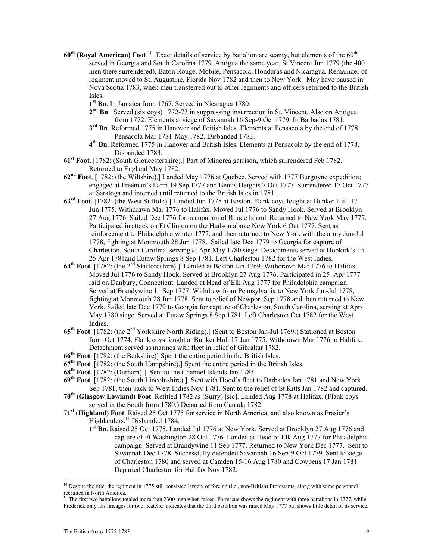- **60<sup>th</sup> (Royal American) Foot**.<sup>10</sup> Exact details of service by battalion are scanty, but elements of the 60<sup>th</sup> served in Georgia and South Carolina 1779, Antigua the same year, St Vincent Jun 1779 (the 400 men there surrendered), Baton Rouge, Mobile, Pensacola, Honduras and Nicaragua. Remainder of regiment moved to St. Augustine, Florida Nov 1782 and then to New York. May have paused in Nova Scotia 1783, when men transferred out to other regiments and officers returned to the British Isles.
	- **1st Bn**. In Jamaica from 1767. Served in Nicaragua 1780.
	- **2nd Bn**. Served (six coys) 1772-73 in suppressing insurrection in St. Vincent. Also on Antigua from 1772. Elements at siege of Savannah 16 Sep-9 Oct 1779. In Barbados 1781.
	- **3rd Bn**. Reformed 1775 in Hanover and British Isles. Elements at Pensacola by the end of 1778. Pensacola Mar 1781-May 1782. Disbanded 1783.
	- **4th Bn**. Reformed 1775 in Hanover and British Isles. Elements at Pensacola by the end of 1778. Disbanded 1783.
- **61st Foot**. [1782: (South Gloucestershire).] Part of Minorca garrison, which surrendered Feb 1782. Returned to England May 1782.
- **62nd Foot**. [1782: (the Wiltshire).] Landed May 1776 at Quebec. Served with 1777 Burgoyne expedition; engaged at Freeman's Farm 19 Sep 1777 and Bemis Heights 7 Oct 1777. Surrendered 17 Oct 1777 at Saratoga and interned until returned to the British Isles in 1781.
- **63rd Foot**. [1782: (the West Suffolk).] Landed Jun 1775 at Boston. Flank coys fought at Bunker Hull 17 Jun 1775. Withdrawn Mar 1776 to Halifax. Moved Jul 1776 to Sandy Hook. Served at Brooklyn 27 Aug 1776. Sailed Dec 1776 for occupation of Rhode Island. Returned to New York May 1777. Participated in attack on Ft Clinton on the Hudson above New York 6 Oct 1777. Sent as reinforcement to Philadelphia winter 1777, and then returned to New York with the army Jun-Jul 1778, fighting at Monmouth 28 Jun 1778. Sailed late Dec 1779 to Georgia for capture of Charleston, South Carolina, serving at Apr-May 1780 siege. Detachments served at Hobkirk's Hill 25 Apr 1781and Eutaw Springs 8 Sep 1781. Left Charleston 1782 for the West Indies.
- **64th Foot**. [1782: (the 2nd Staffordshire).] Landed at Boston Jan 1769. Withdrawn Mar 1776 to Halifax. Moved Jul 1776 to Sandy Hook. Served at Brooklyn 27 Aug 1776. Participated in 25 Apr 1777 raid on Danbury, Connecticut. Landed at Head of Elk Aug 1777 for Philadelphia campaign. Served at Brandywine 11 Sep 1777. Withdrew from Pennsylvania to New York Jun-Jul 1778, fighting at Monmouth 28 Jun 1778. Sent to relief of Newport Sep 1778 and then returned to New York. Sailed late Dec 1779 to Georgia for capture of Charleston, South Carolina, serving at Apr-May 1780 siege. Served at Eutaw Springs 8 Sep 1781. Left Charleston Oct 1782 for the West Indies.
- **65th Foot**. [1782: (the 2nd Yorkshire North Riding).] (Sent to Boston Jan-Jul 1769.) Stationed at Boston from Oct 1774. Flank coys fought at Bunker Hull 17 Jun 1775. Withdrawn Mar 1776 to Halifax. Detachment served as marines with fleet in relief of Gibraltar 1782.
- **66th Foot**. [1782: (the Berkshire)] Spent the entire period in the British Isles.
- **67th Foot**. [1782: (the South Hampshire).] Spent the entire period in the British Isles.
- **68th Foot**. [1782: (Durham).] Sent to the Channel Islands Jan 1783.
- **69th Foot**. [1782: (the South Lincolnshire).] Sent with Hood's fleet to Barbados Jan 1781 and New York Sep 1781, then back to West Indies Nov 1781. Sent to the relief of St Kitts Jan 1782 and captured.
- **70th (Glasgow Lowland) Foot**. Retitled 1782 as (Surry) [sic]. Landed Aug 1778 at Halifax. (Flank coys served in the South from 1780.) Departed from Canada 1782.
- **71st (Highland) Foot**. Raised 25 Oct 1775 for service in North America, and also known as Frasier's Highlanders.<sup>11</sup> Disbanded 1784.
	- **1st Bn**. Raised 25 Oct 1775. Landed Jul 1776 at New York. Served at Brooklyn 27 Aug 1776 and capture of Ft Washington 28 Oct 1776. Landed at Head of Elk Aug 1777 for Philadelphia campaign. Served at Brandywine 11 Sep 1777. Returned to New York Dec 1777. Sent to Savannah Dec 1778. Successfully defended Savannah 16 Sep-9 Oct 1779. Sent to siege of Charleston 1780 and served at Camden 15-16 Aug 1780 and Cowpens 17 Jan 1781. Departed Charleston for Halifax Nov 1782.

11 The first two battalions totaled more than 2300 men when raised. Fortescue shows the regiment with three battalions in 1777, while Frederick only has lineages for two. Katcher indicates that the third battalion was raised May 1777 but shows little detail of its service.

 $\overline{a}$ 

 $10$  Despite the title, the regiment in 1775 still consisted largely of foreign (i.e., non-British) Protestants, along with some personnel recruited in North America.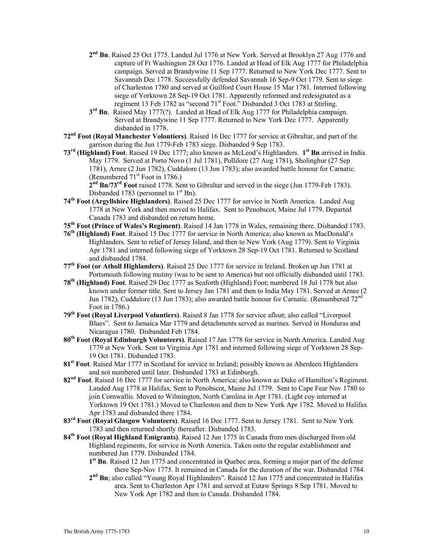- **2nd Bn**. Raised 25 Oct 1775. Landed Jul 1776 at New York. Served at Brooklyn 27 Aug 1776 and capture of Ft Washington 28 Oct 1776. Landed at Head of Elk Aug 1777 for Philadelphia campaign. Served at Brandywine 11 Sep 1777. Returned to New York Dec 1777. Sent to Savannah Dec 1778. Successfully defended Savannah 16 Sep-9 Oct 1779. Sent to siege of Charleston 1780 and served at Guilford Court House 15 Mar 1781. Interned following siege of Yorktown 28 Sep-19 Oct 1781. Apparently reformed and redesignated as a regiment 13 Feb 1782 as "second 71<sup>st</sup> Foot." Disbanded 3 Oct 1783 at Stirling.
- **3rd Bn**. Raised May 1777(?). Landed at Head of Elk Aug 1777 for Philadelphia campaign. Served at Brandywine 11 Sep 1777. Returned to New York Dec 1777. Apparently disbanded in 1778.
- **72nd Foot (Royal Manchester Volontiers)**. Raised 16 Dec 1777 for service at Gibraltar, and part of the garrison during the Jun 1779-Feb 1783 siege. Disbanded 9 Sep 1783.
- **73rd (Highland) Foot**. Raised 19 Dec 1777; also known as McLeod's Highlanders. **1st Bn** arrived in India May 1779. Served at Porto Novo (1 Jul 1781), Pollilore (27 Aug 1781), Sholinghur (27 Sep 1781), Arnee (2 Jun 1782), Cuddalore (13 Jun 1783); also awarded battle honour for Carnatic. (Renumbered  $71<sup>st</sup>$  Foot in 1786.)

**2nd Bn/73rd Foot** raised 1778. Sent to Gibraltar and served in the siege (Jun 1779-Feb 1783). Disbanded 1783 (personnel to  $1<sup>st</sup>$  Bn).

- **74th Foot (Argyllshire Highlanders)**. Raised 25 Dec 1777 for service in North America. Landed Aug 1778 at New York and then moved to Halifax. Sent to Penobscot, Maine Jul 1779. Departed Canada 1783 and disbanded on return home.
- **75th Foot (Prince of Wales's Regiment)**. Raised 14 Jan 1778 in Wales, remaining there. Disbanded 1783.
- **76th (Highland) Foot**. Raised 15 Dec 1777 for service in North America; also known as MacDonald's Highlanders. Sent to relief of Jersey Island, and then to New York (Aug 1779). Sent to Virginia Apr 1781 and interned following siege of Yorktown 28 Sep-19 Oct 1781. Returned to Scotland and disbanded 1784.
- **77th Foot (or Atholl Highlanders)**. Raised 25 Dec 1777 for service in Ireland. Broken up Jun 1781 at Portsmouth following mutiny (was to be sent to America) but not officially disbanded until 1783.
- **78th (Highland) Foot**. Raised 29 Dec 1777 as Seaforth (Highland) Foot; numbered 18 Jul 1778 but also known under former title. Sent to Jersey Jan 1781 and then to India May 1781. Served at Arnee (2 Jun 1782), Cuddalore (13 Jun 1783); also awarded battle honour for Carnatic. (Renumbered  $72<sup>nc</sup>$ Foot in 1786.)
- **79th Foot (Royal Liverpool Voluntiers)**. Raised 8 Jan 1778 for service afloat; also called "Liverpool Blues". Sent to Jamaica Mar 1779 and detachments served as marines. Served in Honduras and Nicaragua 1780. Disbanded Feb 1784.
- **80th Foot (Royal Edinburgh Volunteers)**. Raised 17 Jan 1778 for service in North America. Landed Aug 1779 at New York. Sent to Virginia Apr 1781 and interned following siege of Yorktown 28 Sep-19 Oct 1781. Disbanded 1783.
- **81st Foot**. Raised Mar 1777 in Scotland for service in Ireland; possibly known as Aberdeen Highlanders and not numbered until later. Disbanded 1783 at Edinburgh.
- **82nd Foot**. Raised 16 Dec 1777 for service in North America; also known as Duke of Hamilton's Regiment. Landed Aug 1778 at Halifax. Sent to Penobscot, Maine Jul 1779. Sent to Cape Fear Nov 1780 to join Cornwallis. Moved to Wilmington, North Carolina in Apr 1781. (Light coy interned at Yorktown 19 Oct 1781.) Moved to Charleston and then to New York Apr 1782. Moved to Halifax Apr 1783 and disbanded there 1784.
- **83rd Foot (Royal Glasgow Volunteers)**. Raised 16 Dec 1777. Sent to Jersey 1781. Sent to New York 1783 and then returned shortly thereafter. Disbanded 1783.
- **84th Foot (Royal Highland Emigrants)**. Raised 12 Jun 1775 in Canada from men discharged from old Highland regiments, for service in North America. Taken onto the regular establishment and numbered Jan 1779. Disbanded 1784.
	- **1st Bn**. Raised 12 Jun 1775 and concentrated in Quebec area, forming a major part of the defense there Sep-Nov 1775. It remained in Canada for the duration of the war. Disbanded 1784.
	- **2nd Bn**; also called "Young Royal Highlanders". Raised 12 Jun 1775 and concentrated in Halifax area. Sent to Charleston Apr 1781 and served at Eutaw Springs 8 Sep 1781. Moved to New York Apr 1782 and then to Canada. Disbanded 1784.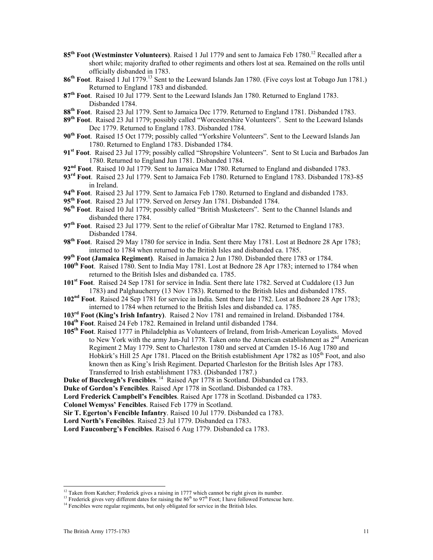- 85<sup>th</sup> Foot (Westminster Volunteers). Raised 1 Jul 1779 and sent to Jamaica Feb 1780.<sup>12</sup> Recalled after a short while; majority drafted to other regiments and others lost at sea. Remained on the rolls until officially disbanded in 1783.
- **86th Foot**. Raised 1 Jul 1779.13 Sent to the Leeward Islands Jan 1780. (Five coys lost at Tobago Jun 1781.) Returned to England 1783 and disbanded.
- **87th Foot**. Raised 10 Jul 1779. Sent to the Leeward Islands Jan 1780. Returned to England 1783. Disbanded 1784.
- **88th Foot**. Raised 23 Jul 1779. Sent to Jamaica Dec 1779. Returned to England 1781. Disbanded 1783.
- **89th Foot**. Raised 23 Jul 1779; possibly called "Worcestershire Volunteers". Sent to the Leeward Islands Dec 1779. Returned to England 1783. Disbanded 1784.
- **90th Foot**. Raised 15 Oct 1779; possibly called "Yorkshire Volunteers". Sent to the Leeward Islands Jan 1780. Returned to England 1783. Disbanded 1784.
- **91st Foot**. Raised 23 Jul 1779; possibly called "Shropshire Volunteers". Sent to St Lucia and Barbados Jan 1780. Returned to England Jun 1781. Disbanded 1784.
- **92nd Foot**. Raised 10 Jul 1779. Sent to Jamaica Mar 1780. Returned to England and disbanded 1783.
- **93rd Foot**. Raised 23 Jul 1779. Sent to Jamaica Feb 1780. Returned to England 1783. Disbanded 1783-85 in Ireland.
- **94th Foot**. Raised 23 Jul 1779. Sent to Jamaica Feb 1780. Returned to England and disbanded 1783.
- **95th Foot**. Raised 23 Jul 1779. Served on Jersey Jan 1781. Disbanded 1784.
- **96th Foot**. Raised 10 Jul 1779; possibly called "British Musketeers". Sent to the Channel Islands and disbanded there 1784.
- **97th Foot**. Raised 23 Jul 1779. Sent to the relief of Gibraltar Mar 1782. Returned to England 1783. Disbanded 1784.
- **98th Foot**. Raised 29 May 1780 for service in India. Sent there May 1781. Lost at Bednore 28 Apr 1783; interned to 1784 when returned to the British Isles and disbanded ca. 1785.
- **99th Foot (Jamaica Regiment)**. Raised in Jamaica 2 Jun 1780. Disbanded there 1783 or 1784.
- **100th Foot**. Raised 1780. Sent to India May 1781. Lost at Bednore 28 Apr 1783; interned to 1784 when returned to the British Isles and disbanded ca. 1785.
- **101st Foot**. Raised 24 Sep 1781 for service in India. Sent there late 1782. Served at Cuddalore (13 Jun 1783) and Palghaucherry (13 Nov 1783). Returned to the British Isles and disbanded 1785.
- **102nd Foot**. Raised 24 Sep 1781 for service in India. Sent there late 1782. Lost at Bednore 28 Apr 1783; interned to 1784 when returned to the British Isles and disbanded ca. 1785.
- **103rd Foot (King's Irish Infantry)**. Raised 2 Nov 1781 and remained in Ireland. Disbanded 1784.
- **104th Foot**. Raised 24 Feb 1782. Remained in Ireland until disbanded 1784.
- **105th Foot**. Raised 1777 in Philadelphia as Volunteers of Ireland, from Irish-American Loyalists. Moved to New York with the army Jun-Jul 1778. Taken onto the American establishment as  $2<sup>nd</sup>$  American Regiment 2 May 1779. Sent to Charleston 1780 and served at Camden 15-16 Aug 1780 and Hobkirk's Hill 25 Apr 1781. Placed on the British establishment Apr 1782 as  $105<sup>th</sup>$  Foot, and also known then as King's Irish Regiment. Departed Charleston for the British Isles Apr 1783. Transferred to Irish establishment 1783. (Disbanded 1787.)
- Duke of Buccleugh's Fencibles.<sup>14</sup> Raised Apr 1778 in Scotland. Disbanded ca 1783.
- **Duke of Gordon's Fencibles**. Raised Apr 1778 in Scotland. Disbanded ca 1783.
- **Lord Frederick Campbell's Fencibles**. Raised Apr 1778 in Scotland. Disbanded ca 1783.
- **Colonel Wemyss' Fencibles**. Raised Feb 1779 in Scotland.
- **Sir T. Egerton's Fencible Infantry**. Raised 10 Jul 1779. Disbanded ca 1783.
- **Lord North's Fencibles**. Raised 23 Jul 1779. Disbanded ca 1783.

**Lord Fauconberg's Fencibles**. Raised 6 Aug 1779. Disbanded ca 1783.

<sup>&</sup>lt;sup>12</sup> Taken from Katcher; Frederick gives a raising in 1777 which cannot be right given its number.

<sup>&</sup>lt;sup>13</sup> Frederick gives very different dates for raising the  $86<sup>th</sup>$  to  $97<sup>th</sup>$  Foot; I have followed Fortescue here.<br><sup>14</sup> Fencibles were regular regiments, but only obligated for service in the British Isles.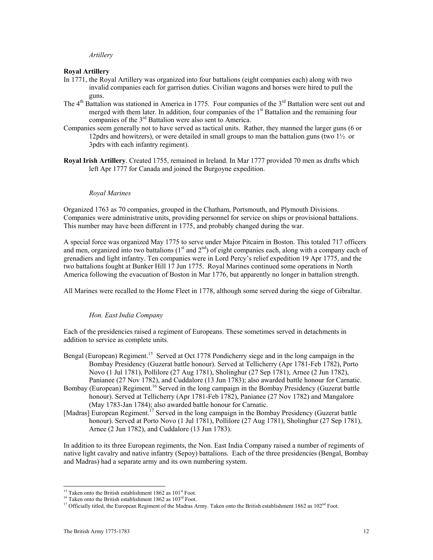*Artillery* 

#### **Royal Artillery**

- In 1771, the Royal Artillery was organized into four battalions (eight companies each) along with two invalid companies each for garrison duties. Civilian wagons and horses were hired to pull the guns.
- The  $4<sup>th</sup>$  Battalion was stationed in America in 1775. Four companies of the  $3<sup>rd</sup>$  Battalion were sent out and merged with them later. In addition, four companies of the 1<sup>st</sup> Battalion and the remaining four companies of the  $3<sup>rd</sup>$  Battalion were also sent to America.
- Companies seem generally not to have served as tactical units. Rather, they manned the larger guns (6 or 12 pdrs and howitzers), or were detailed in small groups to man the battalion guns (two  $1\frac{1}{2}$  or 3pdrs with each infantry regiment).
- **Royal Irish Artillery**. Created 1755, remained in Ireland. In Mar 1777 provided 70 men as drafts which left Apr 1777 for Canada and joined the Burgoyne expedition.

#### *Royal Marines*

Organized 1763 as 70 companies, grouped in the Chatham, Portsmouth, and Plymouth Divisions. Companies were administrative units, providing personnel for service on ships or provisional battalions. This number may have been different in 1775, and probably changed during the war.

A special force was organized May 1775 to serve under Major Pitcairn in Boston. This totaled 717 officers and men, organized into two battalions  $(1<sup>st</sup>$  and  $2<sup>nd</sup>)$  of eight companies each, along with a company each of grenadiers and light infantry. Ten companies were in Lord Percy's relief expedition 19 Apr 1775, and the two battalions fought at Bunker Hill 17 Jun 1775. Royal Marines continued some operations in North America following the evacuation of Boston in Mar 1776, but apparently no longer in battalion strength.

All Marines were recalled to the Home Fleet in 1778, although some served during the siege of Gibraltar.

# *Hon. East India Company*

Each of the presidencies raised a regiment of Europeans. These sometimes served in detachments in addition to service as complete units.

- Bengal (European) Regiment.<sup>15</sup> Served at Oct 1778 Pondicherry siege and in the long campaign in the Bombay Presidency (Guzerat battle honour). Served at Tellicherry (Apr 1781-Feb 1782), Porto Novo (1 Jul 1781), Pollilore (27 Aug 1781), Sholinghur (27 Sep 1781), Arnee (2 Jun 1782), Panianee (27 Nov 1782), and Cuddalore (13 Jun 1783); also awarded battle honour for Carnatic.
- Bombay (European) Regiment.<sup>16</sup> Served in the long campaign in the Bombay Presidency (Guzerat battle honour). Served at Tellicherry (Apr 1781-Feb 1782), Panianee (27 Nov 1782) and Mangalore (May 1783-Jan 1784); also awarded battle honour for Carnatic.
- [Madras] European Regiment.<sup>17</sup> Served in the long campaign in the Bombay Presidency (Guzerat battle honour). Served at Porto Novo (1 Jul 1781), Pollilore (27 Aug 1781), Sholinghur (27 Sep 1781), Arnee (2 Jun 1782), and Cuddalore (13 Jun 1783).

In addition to its three European regiments, the Non. East India Company raised a number of regiments of native light cavalry and native infantry (Sepoy) battalions. Each of the three presidencies (Bengal, Bombay and Madras) had a separate army and its own numbering system.

<sup>&</sup>lt;sup>15</sup> Taken onto the British establishment 1862 as 101<sup>st</sup> Foot.

<sup>&</sup>lt;sup>16</sup> Taken onto the British establishment 1862 as  $103^{rd}$  Foot.<br><sup>17</sup> Officially titled, the European Regiment of the Madras Army. Taken onto the British establishment 1862 as  $102^{nd}$  Foot.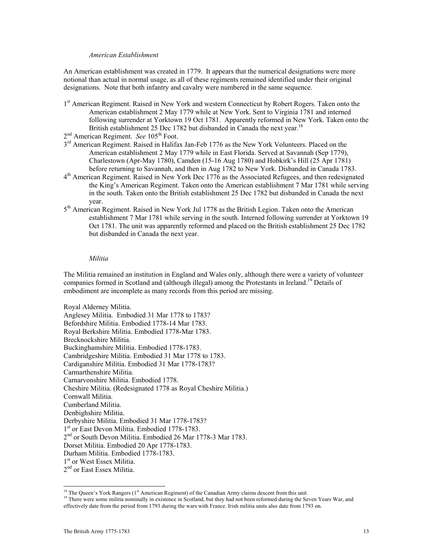### *American Establishment*

An American establishment was created in 1779. It appears that the numerical designations were more notional than actual in normal usage, as all of these regiments remained identified under their original designations. Note that both infantry and cavalry were numbered in the same sequence.

1<sup>st</sup> American Regiment. Raised in New York and western Connecticut by Robert Rogers. Taken onto the American establishment 2 May 1779 while at New York. Sent to Virginia 1781 and interned following surrender at Yorktown 19 Oct 1781. Apparently reformed in New York. Taken onto the British establishment 25 Dec 1782 but disbanded in Canada the next year.<sup>18</sup>

- $3<sup>rd</sup>$  American Regiment. Raised in Halifax Jan-Feb 1776 as the New York Volunteers. Placed on the American establishment 2 May 1779 while in East Florida. Served at Savannah (Sep 1779), Charlestown (Apr-May 1780), Camden (15-16 Aug 1780) and Hobkirk's Hill (25 Apr 1781) before returning to Savannah, and then in Aug 1782 to New York. Disbanded in Canada 1783.
- 4th American Regiment. Raised in New York Dec 1776 as the Associated Refugees, and then redesignated the King's American Regiment. Taken onto the American establishment 7 Mar 1781 while serving in the south. Taken onto the British establishment 25 Dec 1782 but disbanded in Canada the next year.
- 5<sup>th</sup> American Regiment. Raised in New York Jul 1778 as the British Legion. Taken onto the American establishment 7 Mar 1781 while serving in the south. Interned following surrender at Yorktown 19 Oct 1781. The unit was apparently reformed and placed on the British establishment 25 Dec 1782 but disbanded in Canada the next year.

#### *Militia*

The Militia remained an institution in England and Wales only, although there were a variety of volunteer companies formed in Scotland and (although illegal) among the Protestants in Ireland.<sup>19</sup> Details of embodiment are incomplete as many records from this period are missing.

Royal Alderney Militia. Anglesey Militia. Embodied 31 Mar 1778 to 1783? Befordshire Militia. Embodied 1778-14 Mar 1783. Royal Berkshire Militia. Embodied 1778-Mar 1783. Brecknockshire Militia. Buckinghamshire Militia. Embodied 1778-1783. Cambridgeshire Militia. Embodied 31 Mar 1778 to 1783. Cardiganshire Militia. Embodied 31 Mar 1778-1783? Carmarthenshire Militia. Carnarvonshire Militia. Embodied 1778. Cheshire Militia. (Redesignated 1778 as Royal Cheshire Militia.) Cornwall Militia. Cumberland Militia. Denbighshire Militia. Derbyshire Militia. Embodied 31 Mar 1778-1783? 1<sup>st</sup> or East Devon Militia. Embodied 1778-1783. 2<sup>nd</sup> or South Devon Militia. Embodied 26 Mar 1778-3 Mar 1783. Dorset Militia. Embodied 20 Apr 1778-1783. Durham Militia. Embodied 1778-1783. 1<sup>st</sup> or West Essex Militia. 2<sup>nd</sup> or East Essex Militia.

<sup>2</sup>nd American Regiment. *See* 105th Foot.

<sup>&</sup>lt;sup>18</sup> The Oueen's York Rangers (1<sup>st</sup> American Regiment) of the Canadian Army claims descent from this unit.

<sup>&</sup>lt;sup>19</sup> There were some militia nominally in existence in Scotland, but they had not been reformed during the Seven Years War, and

effectively date from the period from 1793 during the wars with France. Irish militia units also date from 1793 on.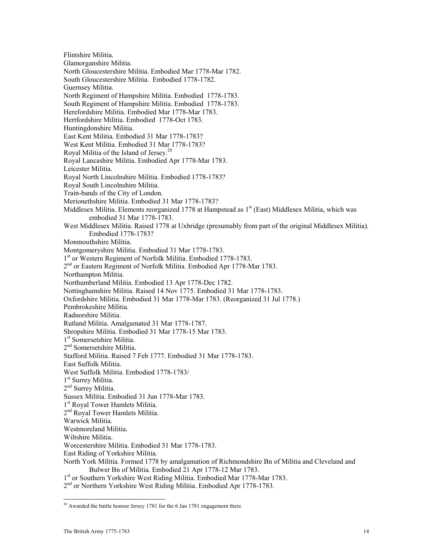Flintshire Militia. Glamorganshire Militia. North Gloucestershire Militia. Embodied Mar 1778-Mar 1782. South Gloucestershire Militia. Embodied 1778-1782. Guernsey Militia. North Regiment of Hampshire Militia. Embodied 1778-1783. South Regiment of Hampshire Militia. Embodied 1778-1783. Herefordshire Militia. Embodied Mar 1778-Mar 1783. Hertfordshire Militia. Embodied 1778-Oct 1783. Huntingdonshire Militia. East Kent Militia. Embodied 31 Mar 1778-1783? West Kent Militia. Embodied 31 Mar 1778-1783? Royal Militia of the Island of Jersey.20 Royal Lancashire Militia. Embodied Apr 1778-Mar 1783. Leicester Militia. Royal North Lincolnshire Militia. Embodied 1778-1783? Royal South Lincolnshire Militia. Train-bands of the City of London. Merionethshire Militia. Embodied 31 Mar 1778-1783? Middlesex Militia. Elements reorganized 1778 at Hampstead as 1<sup>st</sup> (East) Middlesex Militia, which was embodied 31 Mar 1778-1783. West Middlesex Militia. Raised 1778 at Uxbridge (presumably from part of the original Middlesex Militia). Embodied 1778-1783? Monmouthshire Militia. Montgomeryshire Militia. Embodied 31 Mar 1778-1783. 1<sup>st</sup> or Western Regiment of Norfolk Militia. Embodied 1778-1783. 2<sup>nd</sup> or Eastern Regiment of Norfolk Militia. Embodied Apr 1778-Mar 1783. Northampton Militia. Northumberland Militia. Embodied 13 Apr 1778-Dec 1782. Nottinghamshire Militia. Raised 14 Nov 1775. Embodied 31 Mar 1778-1783. Oxfordshire Militia. Embodied 31 Mar 1778-Mar 1783. (Reorganized 31 Jul 1778.) Pembrokeshire Militia. Radnorshire Militia. Rutland Militia. Amalgamated 31 Mar 1778-1787. Shropshire Militia. Embodied 31 Mar 1778-15 Mar 1783. 1<sup>st</sup> Somersetshire Militia. 2nd Somersetshire Militia. Stafford Militia. Raised 7 Feb 1777. Embodied 31 Mar 1778-1783. East Suffolk Militia. West Suffolk Militia. Embodied 1778-1783/ 1<sup>st</sup> Surrey Militia. 2<sup>nd</sup> Surrey Militia. Sussex Militia. Embodied 31 Jun 1778-Mar 1783. 1<sup>st</sup> Royal Tower Hamlets Militia. 2<sup>nd</sup> Royal Tower Hamlets Militia. Warwick Militia. Westmoreland Militia. Wiltshire Militia. Worcestershire Militia. Embodied 31 Mar 1778-1783. East Riding of Yorkshire Militia. North York Militia. Formed 1778 by amalgamation of Richmondshire Bn of Militia and Cleveland and Bulwer Bn of Militia. Embodied 21 Apr 1778-12 Mar 1783. 1<sup>st</sup> or Southern Yorkshire West Riding Militia. Embodied Mar 1778-Mar 1783.

2<sup>nd</sup> or Northern Yorkshire West Riding Militia. Embodied Apr 1778-1783.

 $\overline{a}$ <sup>20</sup> Awarded the battle honour Jersey 1781 for the 6 Jan 1781 engagement there.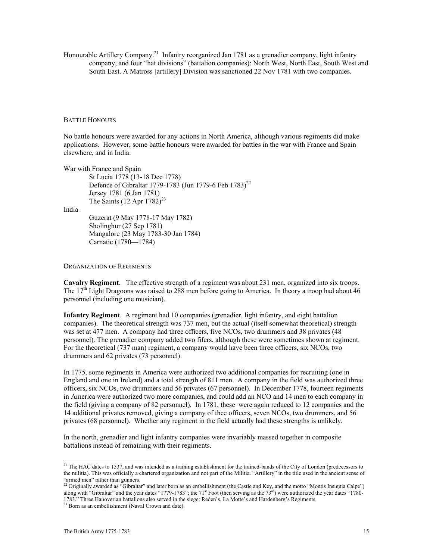Honourable Artillery Company.<sup>21</sup> Infantry reorganized Jan 1781 as a grenadier company, light infantry company, and four "hat divisions" (battalion companies): North West, North East, South West and South East. A Matross [artillery] Division was sanctioned 22 Nov 1781 with two companies.

#### BATTLE HONOURS

No battle honours were awarded for any actions in North America, although various regiments did make applications. However, some battle honours were awarded for battles in the war with France and Spain elsewhere, and in India.

War with France and Spain

St Lucia 1778 (13-18 Dec 1778) Defence of Gibraltar 1779-1783 (Jun 1779-6 Feb 1783)<sup>22</sup> Jersey 1781 (6 Jan 1781) The Saints  $(12$  Apr  $1782)^{23}$ 

India

Guzerat (9 May 1778-17 May 1782) Sholinghur (27 Sep 1781) Mangalore (23 May 1783-30 Jan 1784) Carnatic (1780—1784)

#### ORGANIZATION OF REGIMENTS

**Cavalry Regiment**. The effective strength of a regiment was about 231 men, organized into six troops. The  $17<sup>th</sup>$  Light Dragoons was raised to 288 men before going to America. In theory a troop had about 46 personnel (including one musician).

**Infantry Regiment**. A regiment had 10 companies (grenadier, light infantry, and eight battalion companies). The theoretical strength was 737 men, but the actual (itself somewhat theoretical) strength was set at 477 men. A company had three officers, five NCOs, two drummers and 38 privates (48 personnel). The grenadier company added two fifers, although these were sometimes shown at regiment. For the theoretical (737 man) regiment, a company would have been three officers, six NCOs, two drummers and 62 privates (73 personnel).

In 1775, some regiments in America were authorized two additional companies for recruiting (one in England and one in Ireland) and a total strength of 811 men. A company in the field was authorized three officers, six NCOs, two drummers and 56 privates (67 personnel). In December 1778, fourteen regiments in America were authorized two more companies, and could add an NCO and 14 men to each company in the field (giving a company of 82 personnel). In 1781, these were again reduced to 12 companies and the 14 additional privates removed, giving a company of thee officers, seven NCOs, two drummers, and 56 privates (68 personnel). Whether any regiment in the field actually had these strengths is unlikely.

In the north, grenadier and light infantry companies were invariably massed together in composite battalions instead of remaining with their regiments.

<sup>&</sup>lt;sup>21</sup> The HAC dates to 1537, and was intended as a training establishment for the trained-bands of the City of London (predecessors to the militia). This was officially a chartered organization and not part of the Militia. "Artillery" in the title used in the ancient sense of "armed men" rather than gunners.

<sup>&</sup>lt;sup>22</sup> Originally awarded as "Gibraltar" and later born as an embellishment (the Castle and Key, and the motto "Montis Insignia Calpe") along with "Gibraltar" and the year dates "1779-1783"; the 71<sup>st</sup> Foot (then serving as the 73<sup>rd</sup>) were authorized the year dates "1780-1783." Three Hanoverian battalions also served in the siege: Reden's, La Motte's and Hardenberg's Regiments. 23 Born as an embellishment (Naval Crown and date).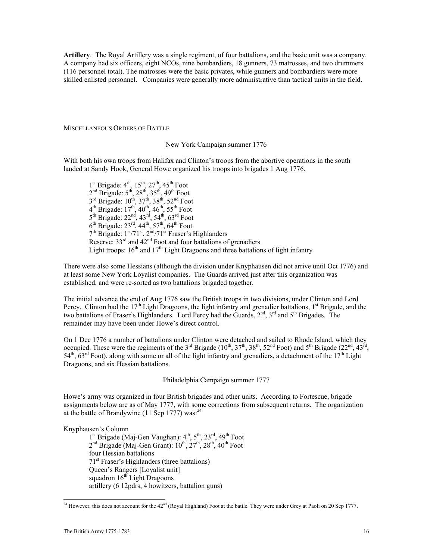**Artillery**. The Royal Artillery was a single regiment, of four battalions, and the basic unit was a company. A company had six officers, eight NCOs, nine bombardiers, 18 gunners, 73 matrosses, and two drummers (116 personnel total). The matrosses were the basic privates, while gunners and bombardiers were more skilled enlisted personnel. Companies were generally more administrative than tactical units in the field.

MISCELLANEOUS ORDERS OF BATTLE

## New York Campaign summer 1776

With both his own troops from Halifax and Clinton's troops from the abortive operations in the south landed at Sandy Hook, General Howe organized his troops into brigades 1 Aug 1776.

 $1<sup>st</sup>$  Brigade:  $4<sup>th</sup>$ ,  $15<sup>th</sup>$ ,  $27<sup>th</sup>$ ,  $45<sup>th</sup>$  Foot  $2<sup>nd</sup>$  Brigade:  $5<sup>th</sup>$ ,  $28<sup>th</sup>$ ,  $35<sup>th</sup>$ ,  $49<sup>th</sup>$  Foot  $3^{\text{rd}}$  Brigade:  $10^{\text{th}}$ ,  $37^{\text{th}}$ ,  $38^{\text{th}}$ ,  $52^{\text{nd}}$  Foot  $4^{th}$  Brigade:  $17^{th}$ ,  $40^{th}$ ,  $46^{th}$ ,  $55^{th}$  Foot  $5<sup>th</sup>$  Brigade:  $22<sup>nd</sup>$ ,  $43<sup>rd</sup>$ ,  $54<sup>th</sup>$ ,  $63<sup>rd</sup>$  Foot  $6^{th}$  Brigade:  $23^{rd}$ ,  $44^{th}$ ,  $57^{th}$ ,  $64^{th}$  Foot  $7<sup>th</sup>$  Brigade:  $1<sup>st</sup>/71<sup>st</sup>$ ,  $2<sup>nd</sup>/71<sup>st</sup>$  Fraser's Highlanders Reserve:  $33<sup>rd</sup>$  and  $42<sup>nd</sup>$  Foot and four battalions of grenadiers Light troops:  $16<sup>th</sup>$  and  $17<sup>th</sup>$  Light Dragoons and three battalions of light infantry

There were also some Hessians (although the division under Knyphausen did not arrive until Oct 1776) and at least some New York Loyalist companies. The Guards arrived just after this organization was established, and were re-sorted as two battalions brigaded together.

The initial advance the end of Aug 1776 saw the British troops in two divisions, under Clinton and Lord Percy. Clinton had the 17<sup>th</sup> Light Dragoons, the light infantry and grenadier battalions, 1<sup>st</sup> Brigade, and the two battalions of Fraser's Highlanders. Lord Percy had the Guards, 2<sup>nd</sup>, 3<sup>rd</sup> and 5<sup>th</sup> Brigades. The remainder may have been under Howe's direct control.

On 1 Dec 1776 a number of battalions under Clinton were detached and sailed to Rhode Island, which they occupied. These were the regiments of the  $3<sup>rd</sup>$  Brigade ( $10<sup>th</sup>$ ,  $37<sup>th</sup>$ ,  $38<sup>th</sup>$ ,  $52<sup>nd</sup>$  Foot) and  $5<sup>th</sup>$  Brigade ( $22<sup>nd</sup>$ ,  $43<sup>rd</sup>$ ,  $54<sup>th</sup>$ ,  $63<sup>rd</sup>$  Foot), along with some or all of the light infantry and grenadiers, a detachment of the  $17<sup>th</sup>$  Light Dragoons, and six Hessian battalions.

Philadelphia Campaign summer 1777

Howe's army was organized in four British brigades and other units. According to Fortescue, brigade assignments below are as of May 1777, with some corrections from subsequent returns. The organization at the battle of Brandywine (11 Sep 1777) was: $^{24}$ 

Knyphausen's Column

 $1<sup>st</sup>$  Brigade (Maj-Gen Vaughan):  $4<sup>th</sup>$ ,  $5<sup>th</sup>$ ,  $23<sup>rd</sup>$ ,  $49<sup>th</sup>$  Foot  $2<sup>nd</sup>$  Brigade (Maj-Gen Grant):  $10<sup>th</sup>$ ,  $27<sup>th</sup>$ ,  $28<sup>th</sup>$ ,  $40<sup>th</sup>$  Foot four Hessian battalions 71st Fraser's Highlanders (three battalions) Queen's Rangers [Loyalist unit] squadron 16<sup>th</sup> Light Dragoons artillery (6 12pdrs, 4 howitzers, battalion guns)

<sup>&</sup>lt;sup>24</sup> However, this does not account for the  $42<sup>nd</sup>$  (Royal Highland) Foot at the battle. They were under Grey at Paoli on 20 Sep 1777.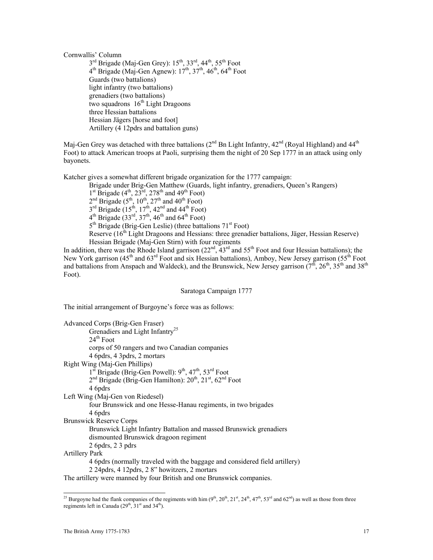Cornwallis' Column

 $3<sup>rd</sup>$  Brigade (Maj-Gen Grey):  $15<sup>th</sup>$ ,  $33<sup>rd</sup>$ ,  $44<sup>th</sup>$ ,  $55<sup>th</sup>$  Foot  $4<sup>th</sup>$  Brigade (Maj-Gen Agnew):  $17<sup>th</sup>$ ,  $37<sup>th</sup>$ ,  $46<sup>th</sup>$ ,  $64<sup>th</sup>$  Foot Guards (two battalions) light infantry (two battalions) grenadiers (two battalions) two squadrons  $16<sup>th</sup>$  Light Dragoons three Hessian battalions Hessian Jägers [horse and foot] Artillery (4 12pdrs and battalion guns)

Maj-Gen Grey was detached with three battalions  $(2^{nd}$  Bn Light Infantry,  $42^{nd}$  (Royal Highland) and  $44^{th}$ Foot) to attack American troops at Paoli, surprising them the night of 20 Sep 1777 in an attack using only bayonets.

Katcher gives a somewhat different brigade organization for the 1777 campaign:

Brigade under Brig-Gen Matthew (Guards, light infantry, grenadiers, Queen's Rangers)

 $1<sup>st</sup>$  Brigade (4<sup>th</sup>, 23<sup>rd</sup>, 278<sup>th</sup> and 49<sup>th</sup> Foot)

 $2<sup>nd</sup>$  Brigade (5<sup>th</sup>, 10<sup>th</sup>, 27<sup>th</sup> and 40<sup>th</sup> Foot)

 $3<sup>rd</sup>$  Brigade (15<sup>th</sup>, 17<sup>th</sup>, 42<sup>nd</sup> and 44<sup>th</sup> Foot)

 $4<sup>th</sup>$  Brigade (33<sup>rd</sup>, 37<sup>th</sup>, 46<sup>th</sup> and 64<sup>th</sup> Foot)

5<sup>th</sup> Brigade (Brig-Gen Leslie) (three battalions 71<sup>st</sup> Foot)

Reserve (16<sup>th</sup> Light Dragoons and Hessians: three grenadier battalions, Jäger, Hessian Reserve) Hessian Brigade (Maj-Gen Stirn) with four regiments

In addition, there was the Rhode Island garrison  $(22<sup>nd</sup>, 43<sup>rd</sup>$  and  $55<sup>th</sup>$  Foot and four Hessian battalions); the New York garrison (45<sup>th</sup> and 63<sup>rd</sup> Foot and six Hessian battalions), Amboy, New Jersey garrison (55<sup>th</sup> Foot and battalions from Anspach and Waldeck), and the Brunswick, New Jersey garrison ( $7<sup>th</sup>$ ,  $26<sup>th</sup>$ ,  $35<sup>th</sup>$  and  $38<sup>th</sup>$ Foot).

Saratoga Campaign 1777

The initial arrangement of Burgoyne's force was as follows:

| Advanced Corps (Brig-Gen Fraser)                                                                         |  |  |
|----------------------------------------------------------------------------------------------------------|--|--|
| Grenadiers and Light Infantry <sup>25</sup>                                                              |  |  |
| $24th$ Foot                                                                                              |  |  |
| corps of 50 rangers and two Canadian companies                                                           |  |  |
| 4 6 pdrs, 4 3 pdrs, 2 mortars                                                                            |  |  |
| Right Wing (Maj-Gen Phillips)                                                                            |  |  |
| 1 <sup>st</sup> Brigade (Brig-Gen Powell): 9 <sup>th</sup> , 47 <sup>th</sup> , 53 <sup>rd</sup> Foot    |  |  |
| 2 <sup>nd</sup> Brigade (Brig-Gen Hamilton): 20 <sup>th</sup> , 21 <sup>st</sup> , 62 <sup>nd</sup> Foot |  |  |
| 4 6pdrs                                                                                                  |  |  |
| Left Wing (Maj-Gen von Riedesel)                                                                         |  |  |
| four Brunswick and one Hesse-Hanau regiments, in two brigades                                            |  |  |
| 4 6pdrs                                                                                                  |  |  |
| <b>Brunswick Reserve Corps</b>                                                                           |  |  |
| Brunswick Light Infantry Battalion and massed Brunswick grenadiers                                       |  |  |
| dismounted Brunswick dragoon regiment                                                                    |  |  |
| 26pds, 23pds                                                                                             |  |  |
| <b>Artillery Park</b>                                                                                    |  |  |
| 4 6 pdrs (normally traveled with the baggage and considered field artillery)                             |  |  |
| 2 24 pdrs, 4 12 pdrs, 2 8" howitzers, 2 mortars                                                          |  |  |

The artillery were manned by four British and one Brunswick companies.

<sup>&</sup>lt;sup>25</sup> Burgoyne had the flank companies of the regiments with him  $(9^{th}, 20^{th}, 21^{st}, 24^{th}, 47^{th}, 53^{rd}$  and  $62^{nd})$  as well as those from three regiments left in Canada  $(29<sup>th</sup>, 31<sup>st</sup>$  and  $34<sup>th</sup>$ ).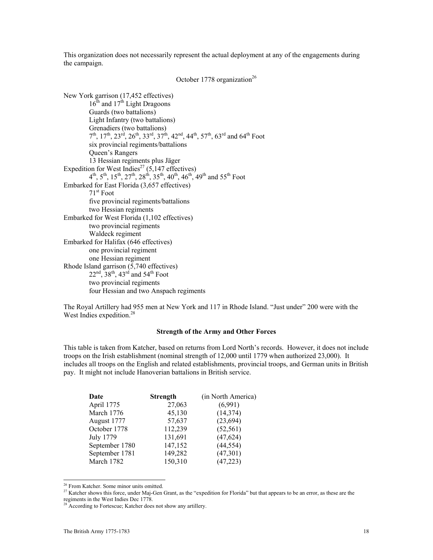This organization does not necessarily represent the actual deployment at any of the engagements during the campaign.

October 1778 organization<sup>26</sup>

New York garrison (17,452 effectives)  $16<sup>th</sup>$  and  $17<sup>th</sup>$  Light Dragoons Guards (two battalions) Light Infantry (two battalions) Grenadiers (two battalions)  $7<sup>th</sup>$ ,  $17<sup>th</sup>$ ,  $23<sup>rd</sup>$ ,  $26<sup>th</sup>$ ,  $33<sup>rd</sup>$ ,  $37<sup>th</sup>$ ,  $42<sup>nd</sup>$ ,  $44<sup>th</sup>$ ,  $57<sup>th</sup>$ ,  $63<sup>rd</sup>$  and  $64<sup>th</sup>$  Foot six provincial regiments/battalions Queen's Rangers 13 Hessian regiments plus Jäger Expedition for West Indies<sup>27</sup> (5,147 effectives)  $4^{th}$ ,  $5^{th}$ ,  $15^{th}$ ,  $27^{th}$ ,  $28^{th}$ ,  $35^{th}$ ,  $40^{th}$ ,  $46^{th}$ ,  $49^{th}$  and  $55^{th}$  Foot Embarked for East Florida (3,657 effectives) 71st Foot five provincial regiments/battalions two Hessian regiments Embarked for West Florida (1,102 effectives) two provincial regiments Waldeck regiment Embarked for Halifax (646 effectives) one provincial regiment one Hessian regiment Rhode Island garrison (5,740 effectives)  $22<sup>nd</sup>$ ,  $38<sup>th</sup>$ ,  $43<sup>rd</sup>$  and  $54<sup>th</sup>$  Foot two provincial regiments four Hessian and two Anspach regiments

The Royal Artillery had 955 men at New York and 117 in Rhode Island. "Just under" 200 were with the West Indies expedition.<sup>28</sup>

### **Strength of the Army and Other Forces**

This table is taken from Katcher, based on returns from Lord North's records. However, it does not include troops on the Irish establishment (nominal strength of 12,000 until 1779 when authorized 23,000). It includes all troops on the English and related establishments, provincial troops, and German units in British pay. It might not include Hanoverian battalions in British service.

| Date           | <b>Strength</b> | (in North America) |
|----------------|-----------------|--------------------|
| April 1775     | 27,063          | (6,991)            |
| March 1776     | 45,130          | (14, 374)          |
| August 1777    | 57,637          | (23, 694)          |
| October 1778   | 112,239         | (52, 561)          |
| July 1779      | 131,691         | (47, 624)          |
| September 1780 | 147,152         | (44, 554)          |
| September 1781 | 149,282         | (47,301)           |
| March 1782     | 150,310         | (47, 223)          |

<sup>&</sup>lt;sup>26</sup> From Katcher. Some minor units omitted.

1

<sup>&</sup>lt;sup>27</sup> Katcher shows this force, under Maj-Gen Grant, as the "expedition for Florida" but that appears to be an error, as these are the regiments in the West Indies Dec 1778.

<sup>&</sup>lt;sup>28</sup> According to Fortescue; Katcher does not show any artillery.